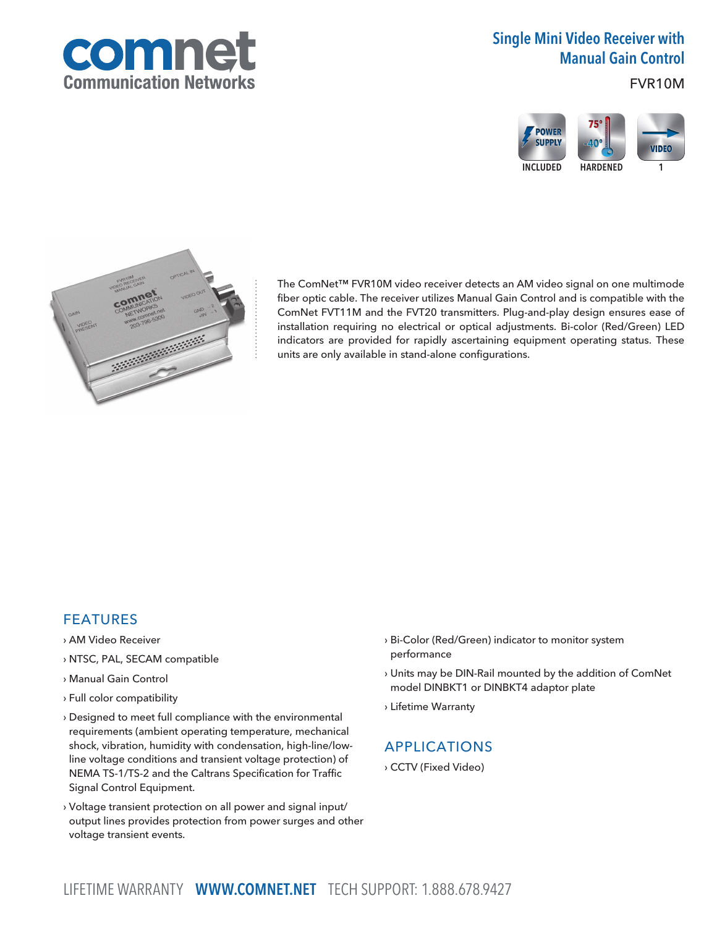

# Single Mini Video Receiver with Manual Gain Control

FVR10M





The ComNet™ FVR10M video receiver detects an AM video signal on one multimode fiber optic cable. The receiver utilizes Manual Gain Control and is compatible with the ComNet FVT11M and the FVT20 transmitters. Plug-and-play design ensures ease of installation requiring no electrical or optical adjustments. Bi-color (Red/Green) LED indicators are provided for rapidly ascertaining equipment operating status. These units are only available in stand-alone configurations.

## FEATURES

- › AM Video Receiver
- › NTSC, PAL, SECAM compatible
- › Manual Gain Control
- › Full color compatibility
- › Designed to meet full compliance with the environmental requirements (ambient operating temperature, mechanical shock, vibration, humidity with condensation, high-line/lowline voltage conditions and transient voltage protection) of NEMA TS-1/TS-2 and the Caltrans Specification for Traffic Signal Control Equipment.
- › Voltage transient protection on all power and signal input/ output lines provides protection from power surges and other voltage transient events.
- › Bi-Color (Red/Green) indicator to monitor system performance
- › Units may be DIN-Rail mounted by the addition of ComNet model DINBKT1 or DINBKT4 adaptor plate
- › Lifetime Warranty

## APPLICATIONS

› CCTV (Fixed Video)